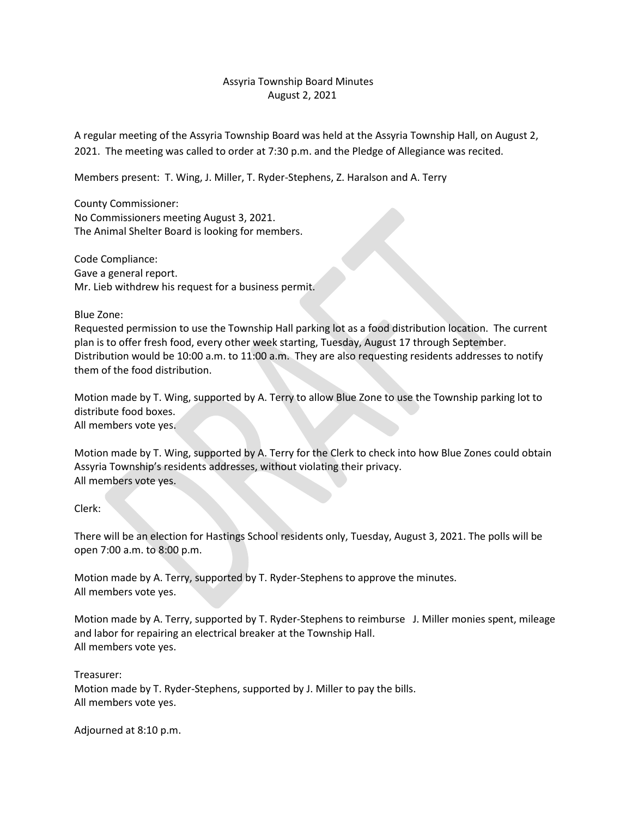## Assyria Township Board Minutes August 2, 2021

A regular meeting of the Assyria Township Board was held at the Assyria Township Hall, on August 2, 2021. The meeting was called to order at 7:30 p.m. and the Pledge of Allegiance was recited.

Members present: T. Wing, J. Miller, T. Ryder-Stephens, Z. Haralson and A. Terry

County Commissioner: No Commissioners meeting August 3, 2021. The Animal Shelter Board is looking for members.

Code Compliance: Gave a general report. Mr. Lieb withdrew his request for a business permit.

Blue Zone:

Requested permission to use the Township Hall parking lot as a food distribution location. The current plan is to offer fresh food, every other week starting, Tuesday, August 17 through September. Distribution would be 10:00 a.m. to 11:00 a.m. They are also requesting residents addresses to notify them of the food distribution.

Motion made by T. Wing, supported by A. Terry to allow Blue Zone to use the Township parking lot to distribute food boxes. All members vote yes.

Motion made by T. Wing, supported by A. Terry for the Clerk to check into how Blue Zones could obtain Assyria Township's residents addresses, without violating their privacy. All members vote yes.

Clerk:

There will be an election for Hastings School residents only, Tuesday, August 3, 2021. The polls will be open 7:00 a.m. to 8:00 p.m.

Motion made by A. Terry, supported by T. Ryder-Stephens to approve the minutes. All members vote yes.

Motion made by A. Terry, supported by T. Ryder-Stephens to reimburse J. Miller monies spent, mileage and labor for repairing an electrical breaker at the Township Hall. All members vote yes.

Treasurer: Motion made by T. Ryder-Stephens, supported by J. Miller to pay the bills. All members vote yes.

Adjourned at 8:10 p.m.